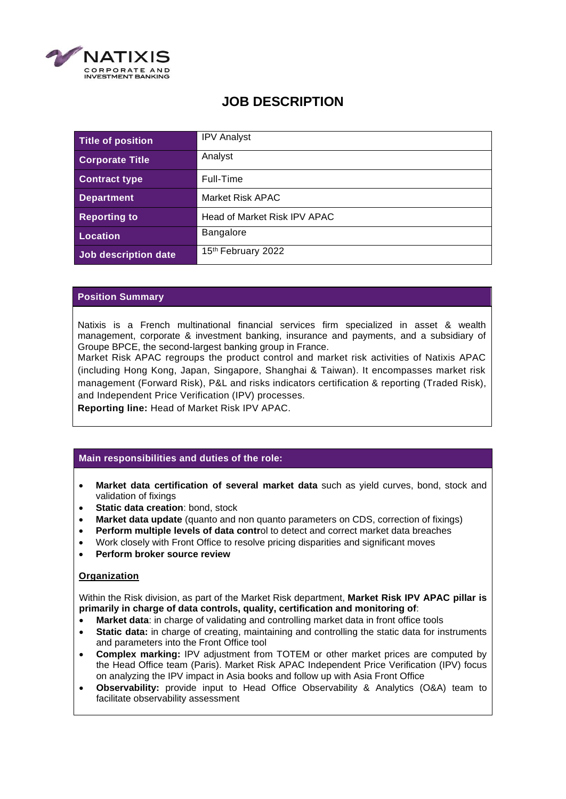

# **JOB DESCRIPTION**

| Title of position      | <b>IPV Analyst</b>           |
|------------------------|------------------------------|
| <b>Corporate Title</b> | Analyst                      |
| <b>Contract type</b>   | Full-Time                    |
| <b>Department</b>      | Market Risk APAC             |
| <b>Reporting to</b>    | Head of Market Risk IPV APAC |
| Location               | <b>Bangalore</b>             |
| Job description date   | 15th February 2022           |

## **Position Summary**

Natixis is a French multinational financial services firm specialized in asset & wealth management, corporate & investment banking, insurance and payments, and a subsidiary of Groupe BPCE, the second-largest banking group in France.

Market Risk APAC regroups the product control and market risk activities of Natixis APAC (including Hong Kong, Japan, Singapore, Shanghai & Taiwan). It encompasses market risk management (Forward Risk), P&L and risks indicators certification & reporting (Traded Risk), and Independent Price Verification (IPV) processes.

**Reporting line:** Head of Market Risk IPV APAC.

#### **Main responsibilities and duties of the role:**

- **Market data certification of several market data** such as yield curves, bond, stock and validation of fixings
- **Static data creation**: bond, stock
- **Market data update** (quanto and non quanto parameters on CDS, correction of fixings)
- **Perform multiple levels of data contr**ol to detect and correct market data breaches
- Work closely with Front Office to resolve pricing disparities and significant moves
- **Perform broker source review**

#### **Organization**

Within the Risk division, as part of the Market Risk department, **Market Risk IPV APAC pillar is primarily in charge of data controls, quality, certification and monitoring of**:

- **Market data**: in charge of validating and controlling market data in front office tools
- **Static data:** in charge of creating, maintaining and controlling the static data for instruments and parameters into the Front Office tool
- **Complex marking:** IPV adjustment from TOTEM or other market prices are computed by the Head Office team (Paris). Market Risk APAC Independent Price Verification (IPV) focus on analyzing the IPV impact in Asia books and follow up with Asia Front Office
- **Observability:** provide input to Head Office Observability & Analytics (O&A) team to facilitate observability assessment